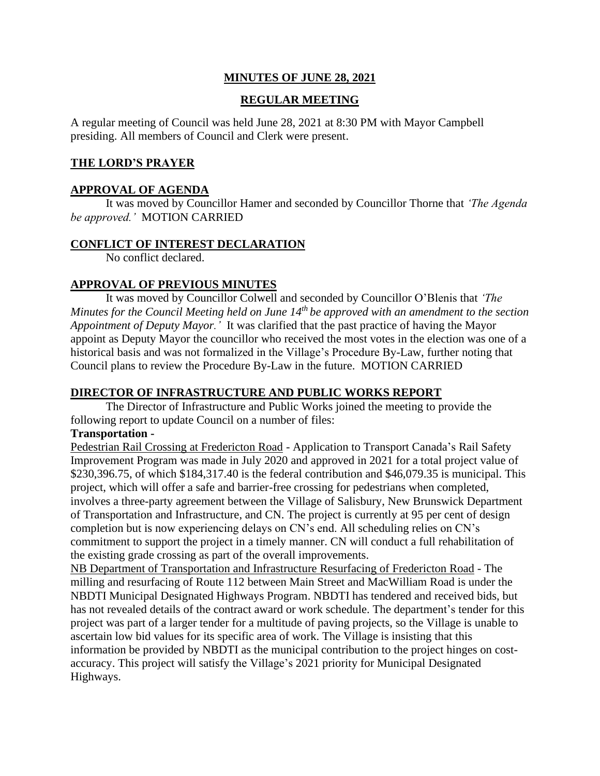# **MINUTES OF JUNE 28, 2021**

### **REGULAR MEETING**

A regular meeting of Council was held June 28, 2021 at 8:30 PM with Mayor Campbell presiding. All members of Council and Clerk were present.

#### **THE LORD'S PRAYER**

#### **APPROVAL OF AGENDA**

It was moved by Councillor Hamer and seconded by Councillor Thorne that *'The Agenda be approved.'* MOTION CARRIED

#### **CONFLICT OF INTEREST DECLARATION**

No conflict declared.

#### **APPROVAL OF PREVIOUS MINUTES**

It was moved by Councillor Colwell and seconded by Councillor O'Blenis that *'The Minutes for the Council Meeting held on June 14th be approved with an amendment to the section Appointment of Deputy Mayor.'* It was clarified that the past practice of having the Mayor appoint as Deputy Mayor the councillor who received the most votes in the election was one of a historical basis and was not formalized in the Village's Procedure By-Law, further noting that Council plans to review the Procedure By-Law in the future. MOTION CARRIED

#### **DIRECTOR OF INFRASTRUCTURE AND PUBLIC WORKS REPORT**

The Director of Infrastructure and Public Works joined the meeting to provide the following report to update Council on a number of files:

#### **Transportation -**

Pedestrian Rail Crossing at Fredericton Road - Application to Transport Canada's Rail Safety Improvement Program was made in July 2020 and approved in 2021 for a total project value of \$230,396.75, of which \$184,317.40 is the federal contribution and \$46,079.35 is municipal. This project, which will offer a safe and barrier-free crossing for pedestrians when completed, involves a three-party agreement between the Village of Salisbury, New Brunswick Department of Transportation and Infrastructure, and CN. The project is currently at 95 per cent of design completion but is now experiencing delays on CN's end. All scheduling relies on CN's commitment to support the project in a timely manner. CN will conduct a full rehabilitation of the existing grade crossing as part of the overall improvements.

NB Department of Transportation and Infrastructure Resurfacing of Fredericton Road - The milling and resurfacing of Route 112 between Main Street and MacWilliam Road is under the NBDTI Municipal Designated Highways Program. NBDTI has tendered and received bids, but has not revealed details of the contract award or work schedule. The department's tender for this project was part of a larger tender for a multitude of paving projects, so the Village is unable to ascertain low bid values for its specific area of work. The Village is insisting that this information be provided by NBDTI as the municipal contribution to the project hinges on costaccuracy. This project will satisfy the Village's 2021 priority for Municipal Designated Highways.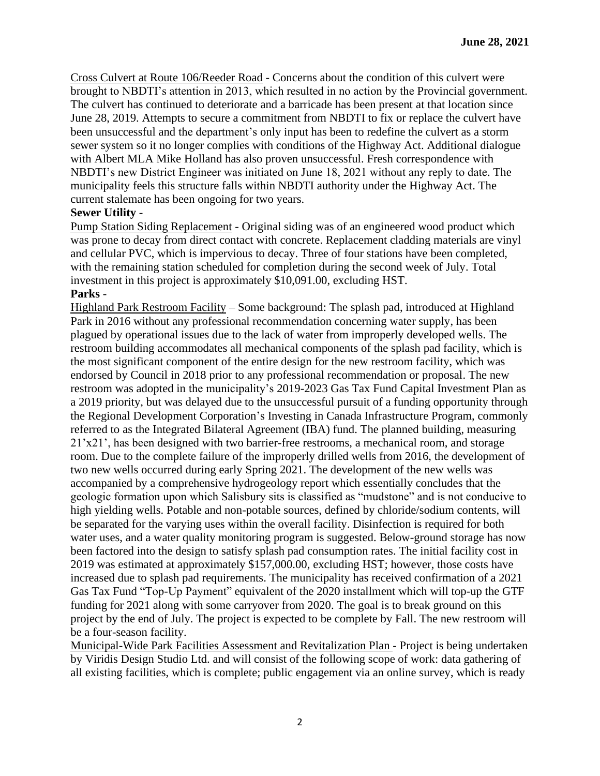Cross Culvert at Route 106/Reeder Road - Concerns about the condition of this culvert were brought to NBDTI's attention in 2013, which resulted in no action by the Provincial government. The culvert has continued to deteriorate and a barricade has been present at that location since June 28, 2019. Attempts to secure a commitment from NBDTI to fix or replace the culvert have been unsuccessful and the department's only input has been to redefine the culvert as a storm sewer system so it no longer complies with conditions of the Highway Act. Additional dialogue with Albert MLA Mike Holland has also proven unsuccessful. Fresh correspondence with NBDTI's new District Engineer was initiated on June 18, 2021 without any reply to date. The municipality feels this structure falls within NBDTI authority under the Highway Act. The current stalemate has been ongoing for two years.

### **Sewer Utility** -

Pump Station Siding Replacement - Original siding was of an engineered wood product which was prone to decay from direct contact with concrete. Replacement cladding materials are vinyl and cellular PVC, which is impervious to decay. Three of four stations have been completed, with the remaining station scheduled for completion during the second week of July. Total investment in this project is approximately \$10,091.00, excluding HST. **Parks** -

Highland Park Restroom Facility – Some background: The splash pad, introduced at Highland Park in 2016 without any professional recommendation concerning water supply, has been plagued by operational issues due to the lack of water from improperly developed wells. The restroom building accommodates all mechanical components of the splash pad facility, which is the most significant component of the entire design for the new restroom facility, which was endorsed by Council in 2018 prior to any professional recommendation or proposal. The new restroom was adopted in the municipality's 2019-2023 Gas Tax Fund Capital Investment Plan as a 2019 priority, but was delayed due to the unsuccessful pursuit of a funding opportunity through the Regional Development Corporation's Investing in Canada Infrastructure Program, commonly referred to as the Integrated Bilateral Agreement (IBA) fund. The planned building, measuring 21'x21', has been designed with two barrier-free restrooms, a mechanical room, and storage room. Due to the complete failure of the improperly drilled wells from 2016, the development of two new wells occurred during early Spring 2021. The development of the new wells was accompanied by a comprehensive hydrogeology report which essentially concludes that the geologic formation upon which Salisbury sits is classified as "mudstone" and is not conducive to high yielding wells. Potable and non-potable sources, defined by chloride/sodium contents, will be separated for the varying uses within the overall facility. Disinfection is required for both water uses, and a water quality monitoring program is suggested. Below-ground storage has now been factored into the design to satisfy splash pad consumption rates. The initial facility cost in 2019 was estimated at approximately \$157,000.00, excluding HST; however, those costs have increased due to splash pad requirements. The municipality has received confirmation of a 2021 Gas Tax Fund "Top-Up Payment" equivalent of the 2020 installment which will top-up the GTF funding for 2021 along with some carryover from 2020. The goal is to break ground on this project by the end of July. The project is expected to be complete by Fall. The new restroom will be a four-season facility.

Municipal-Wide Park Facilities Assessment and Revitalization Plan - Project is being undertaken by Viridis Design Studio Ltd. and will consist of the following scope of work: data gathering of all existing facilities, which is complete; public engagement via an online survey, which is ready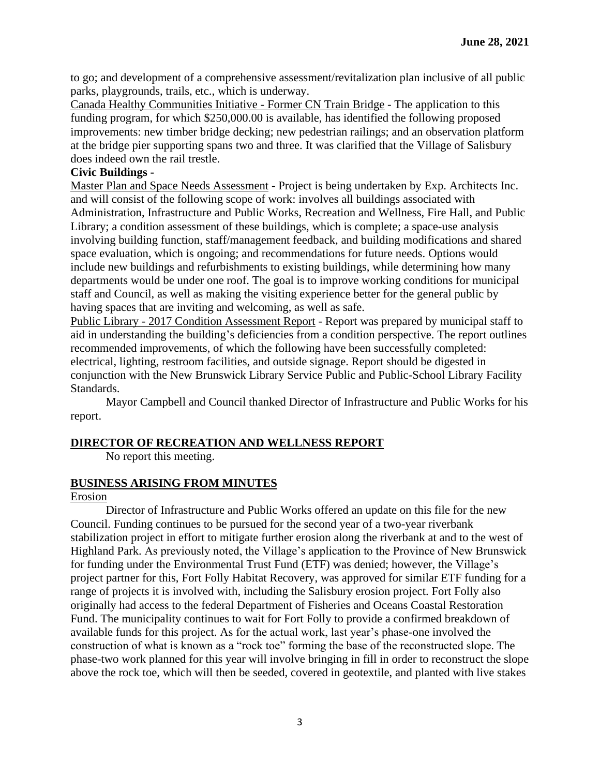to go; and development of a comprehensive assessment/revitalization plan inclusive of all public parks, playgrounds, trails, etc., which is underway.

Canada Healthy Communities Initiative - Former CN Train Bridge - The application to this funding program, for which \$250,000.00 is available, has identified the following proposed improvements: new timber bridge decking; new pedestrian railings; and an observation platform at the bridge pier supporting spans two and three. It was clarified that the Village of Salisbury does indeed own the rail trestle.

# **Civic Buildings -**

Master Plan and Space Needs Assessment - Project is being undertaken by Exp. Architects Inc. and will consist of the following scope of work: involves all buildings associated with Administration, Infrastructure and Public Works, Recreation and Wellness, Fire Hall, and Public Library; a condition assessment of these buildings, which is complete; a space-use analysis involving building function, staff/management feedback, and building modifications and shared space evaluation, which is ongoing; and recommendations for future needs. Options would include new buildings and refurbishments to existing buildings, while determining how many departments would be under one roof. The goal is to improve working conditions for municipal staff and Council, as well as making the visiting experience better for the general public by having spaces that are inviting and welcoming, as well as safe.

Public Library - 2017 Condition Assessment Report - Report was prepared by municipal staff to aid in understanding the building's deficiencies from a condition perspective. The report outlines recommended improvements, of which the following have been successfully completed: electrical, lighting, restroom facilities, and outside signage. Report should be digested in conjunction with the New Brunswick Library Service Public and Public-School Library Facility Standards.

Mayor Campbell and Council thanked Director of Infrastructure and Public Works for his report.

# **DIRECTOR OF RECREATION AND WELLNESS REPORT**

No report this meeting.

# **BUSINESS ARISING FROM MINUTES**

# Erosion

Director of Infrastructure and Public Works offered an update on this file for the new Council. Funding continues to be pursued for the second year of a two-year riverbank stabilization project in effort to mitigate further erosion along the riverbank at and to the west of Highland Park. As previously noted, the Village's application to the Province of New Brunswick for funding under the Environmental Trust Fund (ETF) was denied; however, the Village's project partner for this, Fort Folly Habitat Recovery, was approved for similar ETF funding for a range of projects it is involved with, including the Salisbury erosion project. Fort Folly also originally had access to the federal Department of Fisheries and Oceans Coastal Restoration Fund. The municipality continues to wait for Fort Folly to provide a confirmed breakdown of available funds for this project. As for the actual work, last year's phase-one involved the construction of what is known as a "rock toe" forming the base of the reconstructed slope. The phase-two work planned for this year will involve bringing in fill in order to reconstruct the slope above the rock toe, which will then be seeded, covered in geotextile, and planted with live stakes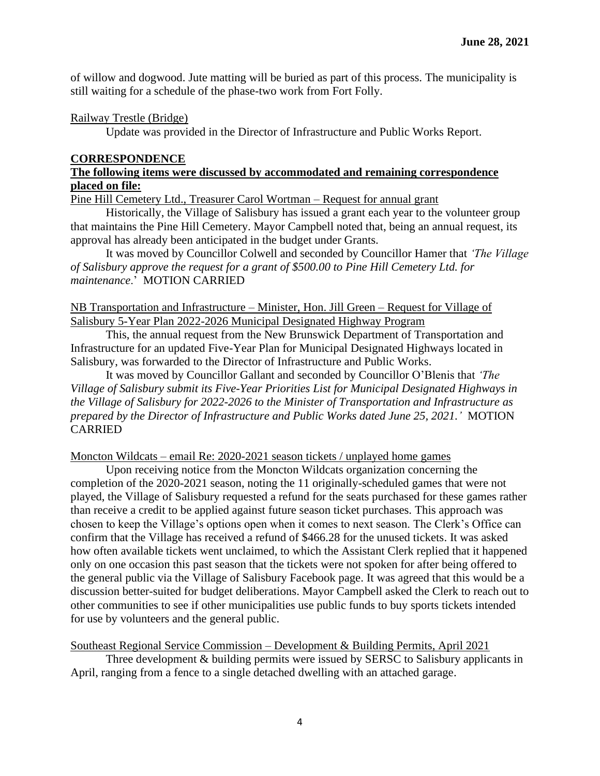of willow and dogwood. Jute matting will be buried as part of this process. The municipality is still waiting for a schedule of the phase-two work from Fort Folly.

### Railway Trestle (Bridge)

Update was provided in the Director of Infrastructure and Public Works Report.

### **CORRESPONDENCE**

### **The following items were discussed by accommodated and remaining correspondence placed on file:**

Pine Hill Cemetery Ltd., Treasurer Carol Wortman – Request for annual grant

Historically, the Village of Salisbury has issued a grant each year to the volunteer group that maintains the Pine Hill Cemetery. Mayor Campbell noted that, being an annual request, its approval has already been anticipated in the budget under Grants.

It was moved by Councillor Colwell and seconded by Councillor Hamer that *'The Village of Salisbury approve the request for a grant of \$500.00 to Pine Hill Cemetery Ltd. for maintenance*.' MOTION CARRIED

### NB Transportation and Infrastructure – Minister, Hon. Jill Green – Request for Village of Salisbury 5-Year Plan 2022-2026 Municipal Designated Highway Program

This, the annual request from the New Brunswick Department of Transportation and Infrastructure for an updated Five-Year Plan for Municipal Designated Highways located in Salisbury, was forwarded to the Director of Infrastructure and Public Works.

It was moved by Councillor Gallant and seconded by Councillor O'Blenis that *'The Village of Salisbury submit its Five-Year Priorities List for Municipal Designated Highways in the Village of Salisbury for 2022-2026 to the Minister of Transportation and Infrastructure as prepared by the Director of Infrastructure and Public Works dated June 25, 2021.'* MOTION CARRIED

Moncton Wildcats – email Re: 2020-2021 season tickets / unplayed home games

Upon receiving notice from the Moncton Wildcats organization concerning the completion of the 2020-2021 season, noting the 11 originally-scheduled games that were not played, the Village of Salisbury requested a refund for the seats purchased for these games rather than receive a credit to be applied against future season ticket purchases. This approach was chosen to keep the Village's options open when it comes to next season. The Clerk's Office can confirm that the Village has received a refund of \$466.28 for the unused tickets. It was asked how often available tickets went unclaimed, to which the Assistant Clerk replied that it happened only on one occasion this past season that the tickets were not spoken for after being offered to the general public via the Village of Salisbury Facebook page. It was agreed that this would be a discussion better-suited for budget deliberations. Mayor Campbell asked the Clerk to reach out to other communities to see if other municipalities use public funds to buy sports tickets intended for use by volunteers and the general public.

Southeast Regional Service Commission – Development & Building Permits, April 2021 Three development & building permits were issued by SERSC to Salisbury applicants in April, ranging from a fence to a single detached dwelling with an attached garage.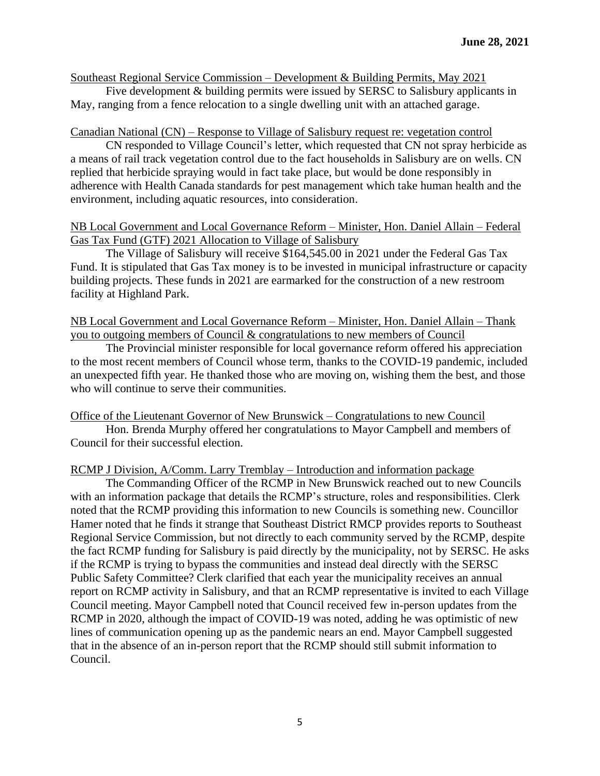Southeast Regional Service Commission – Development & Building Permits, May 2021

Five development & building permits were issued by SERSC to Salisbury applicants in May, ranging from a fence relocation to a single dwelling unit with an attached garage.

#### Canadian National (CN) – Response to Village of Salisbury request re: vegetation control

CN responded to Village Council's letter, which requested that CN not spray herbicide as a means of rail track vegetation control due to the fact households in Salisbury are on wells. CN replied that herbicide spraying would in fact take place, but would be done responsibly in adherence with Health Canada standards for pest management which take human health and the environment, including aquatic resources, into consideration.

#### NB Local Government and Local Governance Reform – Minister, Hon. Daniel Allain – Federal Gas Tax Fund (GTF) 2021 Allocation to Village of Salisbury

The Village of Salisbury will receive \$164,545.00 in 2021 under the Federal Gas Tax Fund. It is stipulated that Gas Tax money is to be invested in municipal infrastructure or capacity building projects. These funds in 2021 are earmarked for the construction of a new restroom facility at Highland Park.

### NB Local Government and Local Governance Reform – Minister, Hon. Daniel Allain – Thank you to outgoing members of Council & congratulations to new members of Council

The Provincial minister responsible for local governance reform offered his appreciation to the most recent members of Council whose term, thanks to the COVID-19 pandemic, included an unexpected fifth year. He thanked those who are moving on, wishing them the best, and those who will continue to serve their communities.

#### Office of the Lieutenant Governor of New Brunswick – Congratulations to new Council

Hon. Brenda Murphy offered her congratulations to Mayor Campbell and members of Council for their successful election.

#### RCMP J Division, A/Comm. Larry Tremblay – Introduction and information package

The Commanding Officer of the RCMP in New Brunswick reached out to new Councils with an information package that details the RCMP's structure, roles and responsibilities. Clerk noted that the RCMP providing this information to new Councils is something new. Councillor Hamer noted that he finds it strange that Southeast District RMCP provides reports to Southeast Regional Service Commission, but not directly to each community served by the RCMP, despite the fact RCMP funding for Salisbury is paid directly by the municipality, not by SERSC. He asks if the RCMP is trying to bypass the communities and instead deal directly with the SERSC Public Safety Committee? Clerk clarified that each year the municipality receives an annual report on RCMP activity in Salisbury, and that an RCMP representative is invited to each Village Council meeting. Mayor Campbell noted that Council received few in-person updates from the RCMP in 2020, although the impact of COVID-19 was noted, adding he was optimistic of new lines of communication opening up as the pandemic nears an end. Mayor Campbell suggested that in the absence of an in-person report that the RCMP should still submit information to Council.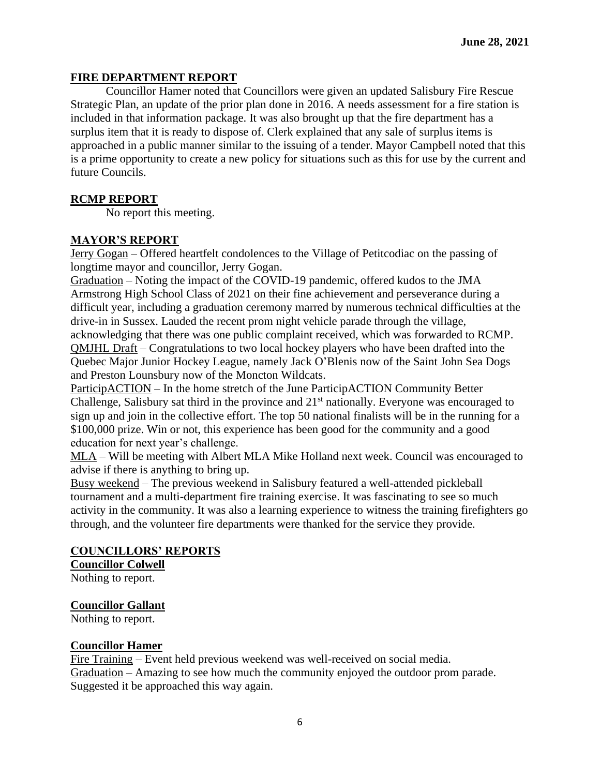### **FIRE DEPARTMENT REPORT**

Councillor Hamer noted that Councillors were given an updated Salisbury Fire Rescue Strategic Plan, an update of the prior plan done in 2016. A needs assessment for a fire station is included in that information package. It was also brought up that the fire department has a surplus item that it is ready to dispose of. Clerk explained that any sale of surplus items is approached in a public manner similar to the issuing of a tender. Mayor Campbell noted that this is a prime opportunity to create a new policy for situations such as this for use by the current and future Councils.

### **RCMP REPORT**

No report this meeting.

### **MAYOR'S REPORT**

Jerry Gogan – Offered heartfelt condolences to the Village of Petitcodiac on the passing of longtime mayor and councillor, Jerry Gogan.

Graduation – Noting the impact of the COVID-19 pandemic, offered kudos to the JMA Armstrong High School Class of 2021 on their fine achievement and perseverance during a difficult year, including a graduation ceremony marred by numerous technical difficulties at the drive-in in Sussex. Lauded the recent prom night vehicle parade through the village,

acknowledging that there was one public complaint received, which was forwarded to RCMP. QMJHL Draft – Congratulations to two local hockey players who have been drafted into the Quebec Major Junior Hockey League, namely Jack O'Blenis now of the Saint John Sea Dogs and Preston Lounsbury now of the Moncton Wildcats.

ParticipACTION – In the home stretch of the June ParticipACTION Community Better Challenge, Salisbury sat third in the province and  $21<sup>st</sup>$  nationally. Everyone was encouraged to sign up and join in the collective effort. The top 50 national finalists will be in the running for a \$100,000 prize. Win or not, this experience has been good for the community and a good education for next year's challenge.

MLA – Will be meeting with Albert MLA Mike Holland next week. Council was encouraged to advise if there is anything to bring up.

Busy weekend – The previous weekend in Salisbury featured a well-attended pickleball tournament and a multi-department fire training exercise. It was fascinating to see so much activity in the community. It was also a learning experience to witness the training firefighters go through, and the volunteer fire departments were thanked for the service they provide.

#### **COUNCILLORS' REPORTS**

**Councillor Colwell** Nothing to report.

#### **Councillor Gallant**

Nothing to report.

#### **Councillor Hamer**

Fire Training – Event held previous weekend was well-received on social media. Graduation – Amazing to see how much the community enjoyed the outdoor prom parade. Suggested it be approached this way again.